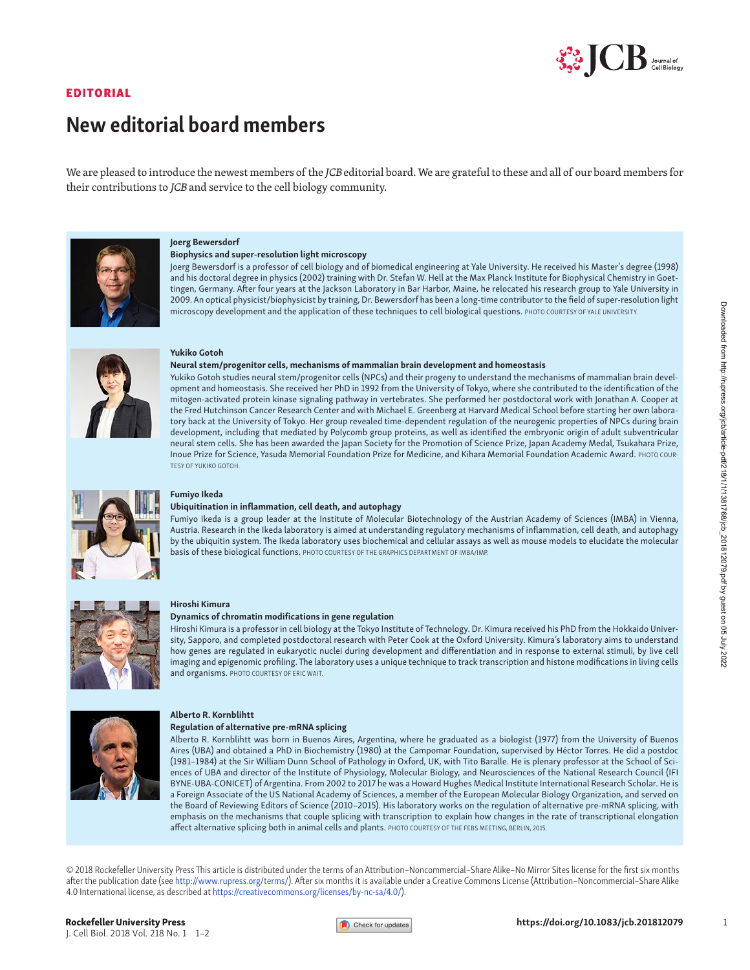

# EDITORIAL

# New editorial board members

We are pleased to introduce the newest members of the JCB editorial board. We are grateful to these and all of our board members for their contributions to JCB and service to the cell biology community.



# Biophysics and super-resolution light microscopy

Joerg Bewersdorf is a professor of cell biology and of biomedical engineering at Yale University. He received his Master's degree (1998) and his doctoral degree in physics (2002) training with Dr. Stefan W. Hell at the Max Planck Institute for Biophysical Chemistry in Goettingen, Germany. After four years at the Jackson Laboratory in Bar Harbor, Maine, he relocated his research group to Yale University in 2009. An optical physicist/biophysicist by training, Dr. Bewersdorf has been a long-time contributor to the field of super-resolution light microscopy development and the application of these techniques to cell biological questions. PHOTO COURTESY OF YALE UNIVERSITY.



# Yukiko Gotoh

#### Neural stem/progenitor cells, mechanisms of mammalian brain development and homeostasis

Yukiko Gotoh studies neural stem/progenitor cells (NPCs) and their progeny to understand the mechanisms of mammalian brain development and homeostasis. She received her PhD in 1992 from the University of Tokyo, where she contributed to the identification of the mitogen-activated protein kinase signaling pathway in vertebrates. She performed her postdoctoral work with Jonathan A. Cooper at the Fred Hutchinson Cancer Research Center and with Michael E. Greenberg at Harvard Medical School before starting her own laboratory back at the University of Tokyo. Her group revealed time-dependent regulation of the neurogenic properties of NPCs during brain development, including that mediated by Polycomb group proteins, as well as identified the embryonic origin of adult subventricular neural stem cells. She has been awarded the Japan Society for the Promotion of Science Prize, Japan Academy Medal, Tsukahara Prize, Inoue Prize for Science, Yasuda Memorial Foundation Prize for Medicine, and Kihara Memorial Foundation Academic Award. PHOTO COUR-TESY OF YUKIKO GOTOH.



## Fumiyo Ikeda

### Ubiquitination in inflammation, cell death, and autophagy

Fumiyo Ikeda is a group leader at the Institute of Molecular Biotechnology of the Austrian Academy of Sciences (IMBA) in Vienna, Austria. Research in the Ikeda laboratory is aimed at understanding regulatory mechanisms of inflammation, cell death, and autophagy by the ubiquitin system. The Ikeda laboratory uses biochemical and cellular assays as well as mouse models to elucidate the molecular basis of these biological functions. PHOTO COURTESY OF THE GRAPHICS DEPARTMENT OF IMBA/IMP.



#### Hiroshi Kimura

#### Dynamics of chromatin modifications in gene regulation

Hiroshi Kimura is a professor in cell biology at the Tokyo Institute of Technology. Dr. Kimura received his PhD from the Hokkaido University, Sapporo, and completed postdoctoral research with Peter Cook at the Oxford University. Kimura's laboratory aims to understand how genes are regulated in eukaryotic nuclei during development and differentiation and in response to external stimuli, by live cell imaging and epigenomic profiling. The laboratory uses a unique technique to track transcription and histone modifications in living cells and organisms. PHOTO COURTESY OF ERIC WAIT.



# Alberto R. Kornblihtt

#### Regulation of alternative pre-mRNA splicing

Alberto R. Kornblihtt was born in Buenos Aires, Argentina, where he graduated as a biologist (1977) from the University of Buenos Aires (UBA) and obtained a PhD in Biochemistry (1980) at the Campomar Foundation, supervised by Héctor Torres. He did a postdoc (1981–1984) at the Sir William Dunn School of Pathology in Oxford, UK, with Tito Baralle. He is plenary professor at the School of Sciences of UBA and director of the Institute of Physiology, Molecular Biology, and Neurosciences of the National Research Council (IFI BYNE-UBA-CONICET) of Argentina. From 2002 to 2017 he was a Howard Hughes Medical Institute International Research Scholar. He is a Foreign Associate of the US National Academy of Sciences, a member of the European Molecular Biology Organization, and served on the Board of Reviewing Editors of Science (2010–2015). His laboratory works on the regulation of alternative pre-mRNA splicing, with emphasis on the mechanisms that couple splicing with transcription to explain how changes in the rate of transcriptional elongation affect alternative splicing both in animal cells and plants. PHOTO COURTESY OF THE FEBS MEETING, BERLIN, 2015.

© 2018 Rockefeller University Press This article is distributed under the terms of an Attribution–Noncommercial–Share Alike–No Mirror Sites license for the first six months after the publication date (see<http://www.rupress.org/terms/>). After six months it is available under a Creative Commons License (Attribution–Noncommercial–Share Alike 4.0 International license, as described at [https://creativecommons.org/licenses/by-nc-sa/4.0/\)](https://creativecommons.org/licenses/by-nc-sa/4.0/).